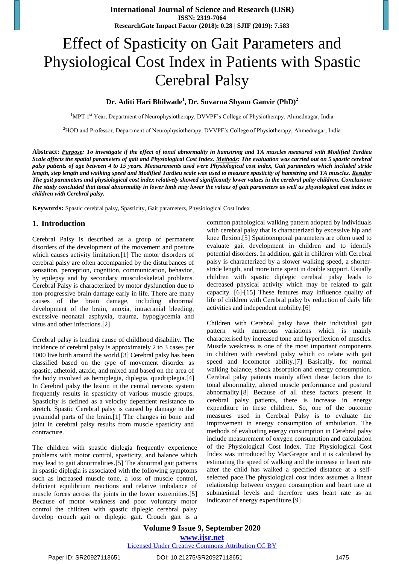# Effect of Spasticity on Gait Parameters and Physiological Cost Index in Patients with Spastic Cerebral Palsy

#### **Dr. Aditi Hari Bhilwade<sup>1</sup> , Dr. Suvarna Shyam Ganvir (PhD)<sup>2</sup>**

<sup>1</sup>MPT 1<sup>st</sup> Year, Department of Neurophysiotherapy, DVVPF's College of Physiotherapy, Ahmednagar, India

<sup>2</sup>HOD and Professor, Department of Neurophysiotherapy, DVVPF's College of Physiotherapy, Ahmednagar, India

**Abstract:** *Purpose: To investigate if the effect of tonal abnormality in hamstring and TA muscles measured with Modified Tardieu Scale affects the spatial parameters of gait and Physiological Cost Index. Methods: The evaluation was carried out on 5 spastic cerebral palsy patients of age between 4 to 15 years. Measurements used were Physiological cost index, Gait parameters which included stride length, step length and walking speed and Modified Tardieu scale was used to measure spasticity of hamstring and TA muscles. Results: The gait parameters and physiological cost index relatively showed significantly lower values in the cerebral palsy children. Conclusion: The study concluded that tonal abnormality in lower limb may lower the values of gait parameters as well as physiological cost index in children with Cerebral palsy.*

**Keywords:** Spastic cerebral palsy, Spasticity, Gait parameters, Physiological Cost Index

#### **1. Introduction**

Cerebral Palsy is described as a group of permanent disorders of the development of the movement and posture which causes activity limitation.[1] The motor disorders of cerebral palsy are often accompanied by the disturbances of sensation, perception, cognition, communication, behavior, by epilepsy and by secondary musculoskeletal problems. Cerebral Palsy is characterized by motor dysfunction due to non-progressive brain damage early in life. There are many causes of the brain damage, including abnormal development of the brain, anoxia, intracranial bleeding, excessive neonatal asphyxia, trauma, hypoglycemia and virus and other infections.[2]

Cerebral palsy is leading cause of childhood disability. The incidence of cerebral palsy is approximately 2 to 3 cases per 1000 live birth around the world.[3] Cerebral palsy has been classified based on the type of movement disorder as spastic, athetoid, ataxic, and mixed and based on the area of the body involved as hemiplegia, diplegia, quadriplegia.[4] In Cerebral palsy the lesion in the central nervous system frequently results in spasticity of various muscle groups. Spasticity is defined as a velocity dependent resistance to stretch. Spastic Cerebral palsy is caused by damage to the pyramidal parts of the brain.[1] The changes in bone and joint in cerebral palsy results from muscle spasticity and contracture.

The children with spastic diplegia frequently experience problems with motor control, spasticity, and balance which may lead to gait abnormalities.[5] The abnormal gait patterns in spastic diplegia is associated with the following symptoms such as increased muscle tone, a loss of muscle control, deficient equilibrium reactions and relative imbalance of muscle forces across the joints in the lower extremities.[5] Because of motor weakness and poor voluntary motor control the children with spastic diplegic cerebral palsy develop crouch gait or diplegic gait. Crouch gait is a

common pathological walking pattern adopted by individuals with cerebral palsy that is characterized by excessive hip and knee flexion.[5] Spatiotemporal parameters are often used to evaluate gait development in children and to identify potential disorders. In addition, gait in children with Cerebral palsy is characterized by a slower walking speed, a shorterstride length, and more time spent in double support. Usually children with spastic diplegic cerebral palsy leads to decreased physical activity which may be related to gait capacity. [6]-[15] These features may influence quality of life of children with Cerebral palsy by reduction of daily life activities and independent mobility.[6]

Children with Cerebral palsy have their individual gait pattern with numerous variations which is mainly characterised by increased tone and hyperflexion of muscles. Muscle weakness is one of the most important components in children with cerebral palsy which co relate with gait speed and locomotor ability.[7] Basically, for normal walking balance, shock absorption and energy consumption. Cerebral palsy patients mainly affect these factors due to tonal abnormality, altered muscle performance and postural abnormality.[8] Because of all these factors present in cerebral palsy patients, there is increase in energy expenditure in these children. So, one of the outcome measures used in Cerebral Palsy is to evaluate the improvement in energy consumption of ambulation. The methods of evaluating energy consumption in Cerebral palsy include measurement of oxygen consumption and calculation of the Physiological Cost Index. The Physiological Cost Index was introduced by MacGregor and it is calculated by estimating the speed of walking and the increase in heart rate after the child has walked a specified distance at a selfselected pace.The physiological cost index assumes a linear relationship between oxygen consumption and heart rate at submaximal levels and therefore uses heart rate as an indicator of energy expenditure.[9]

**Volume 9 Issue 9, September 2020 www.ijsr.net**

Licensed Under Creative Commons Attribution CC BY

Paper ID: SR20927113651 DOI: 10.21275/SR20927113651 2012 1475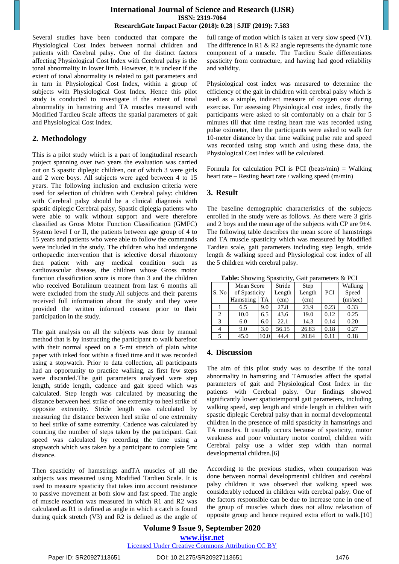#### **International Journal of Science and Research (IJSR) ISSN: 2319-7064 ResearchGate Impact Factor (2018): 0.28 | SJIF (2019): 7.583**

Several studies have been conducted that compare the Physiological Cost Index between normal children and patients with Cerebral palsy. One of the distinct factors affecting Physiological Cost Index with Cerebral palsy is the tonal abnormality in lower limb. However, it is unclear if the extent of tonal abnormality is related to gait parameters and in turn in Physiological Cost Index, within a group of subjects with Physiological Cost Index. Hence this pilot study is conducted to investigate if the extent of tonal abnormality in hamstring and TA muscles measured with Modified Tardieu Scale affects the spatial parameters of gait and Physiological Cost Index.

## **2. Methodology**

This is a pilot study which is a part of longitudinal research project spanning over two years the evaluation was carried out on 5 spastic diplegic children, out of which 3 were girls and 2 were boys. All subjects were aged between 4 to 15 years. The following inclusion and exclusion criteria were used for selection of children with Cerebral palsy: children with Cerebral palsy should be a clinical diagnosis with spastic diplegic Cerebral palsy, Spastic diplegia patients who were able to walk without support and were therefore classified as Gross Motor Function Classification (GMFC) System level I or II, the patients between age group of 4 to 15 years and patients who were able to follow the commands were included in the study. The children who had undergone orthopaedic intervention that is selective dorsal rhizotomy then patient with any medical condition such as cardiovascular disease, the children whose Gross motor function classification score is more than 3 and the children who received Botulinum treatment from last 6 months all were excluded from the study.All subjects and their parents received full information about the study and they were provided the written informed consent prior to their participation in the study.

The gait analysis on all the subjects was done by manual method that is by instructing the participant to walk barefoot with their normal speed on a 5-mt stretch of plain white paper with inked foot within a fixed time and it was recorded using a stopwatch. Prior to data collection, all participants had an opportunity to practice walking, as first few steps were discarded.The gait parameters analysed were step length, stride length, cadence and gait speed which was calculated. Step length was calculated by measuring the distance between heel strike of one extremity to heel strike of opposite extremity. Stride length was calculated by measuring the distance between heel strike of one extremity to heel strike of same extremity. Cadence was calculated by counting the number of steps taken by the participant. Gait speed was calculated by recording the time using a stopwatch which was taken by a participant to complete 5mt distance.

Then spasticity of hamstrings andTA muscles of all the subjects was measured using Modified Tardieu Scale. It is used to measure spasticity that takes into account resistance to passive movement at both slow and fast speed. The angle of muscle reaction was measured in which R1 and R2 was calculated as R1 is defined as angle in which a catch is found during quick stretch (V3) and R2 is defined as the angle of full range of motion which is taken at very slow speed (V1). The difference in R1 & R2 angle represents the dynamic tone component of a muscle. The Tardieu Scale differentiates spasticity from contracture, and having had good reliability and validity.

Physiological cost index was measured to determine the efficiency of the gait in children with cerebral palsy which is used as a simple, indirect measure of oxygen cost during exercise. For assessing Physiological cost index, firstly the participants were asked to sit comfortably on a chair for 5 minutes till that time resting heart rate was recorded using pulse oximeter, then the participants were asked to walk for 10-meter distance by that time walking pulse rate and speed was recorded using stop watch and using these data, the Physiological Cost Index will be calculated.

Formula for calculation PCI is PCI (beats/min)  $=$  Walking heart rate – Resting heart rate / walking speed (m/min)

## **3. Result**

The baseline demographic characteristics of the subjects enrolled in the study were as follows. As there were 3 girls and 2 boys and the mean age of the subjects with CP are 9±4. The following table describes the mean score of hamstrings and TA muscle spasticity which was measured by Modified Tardieu scale, gait parameters including step length, stride length & walking speed and Physiological cost index of all the 5 children with cerebral palsy.

|       |               |      | <b>Table:</b> Showing Spasucity, Galt parameters & FCT |             |            |          |
|-------|---------------|------|--------------------------------------------------------|-------------|------------|----------|
| S. No | Mean Score    |      | Stride                                                 | <b>Step</b> |            | Walking  |
|       | of Spasticity |      | Length                                                 | Length      | <b>PCI</b> | Speed    |
|       | Hamstring     | TA   | (cm)                                                   | (cm)        |            | (mt/sec) |
|       | 6.5           | 9.0  | 27.8                                                   | 23.9        | 0.23       | 0.33     |
| 2     | 10.0          | 6.5  | 43.6                                                   | 19.0        | 0.12       | 0.25     |
| 3     | 6.0           | 6.0  | 22.1                                                   | 14.3        | 0.14       | 0.20     |
| 4     | 9.0           | 3.0  | 56.15                                                  | 26.83       | 0.18       | 0.27     |
| 5     | 45.0          | 10.0 | 44.4                                                   | 20.84       | 0.11       | 0.18     |

**Table:** Showing Spasticity, Gait parameters & PCI

## **4. Discussion**

The aim of this pilot study was to describe if the tonal abnormality in hamstring and TAmuscles affect the spatial parameters of gait and Physiological Cost Index in the patients with Cerebral palsy. Our findings showed significantly lower spatiotemporal gait parameters, including walking speed, step length and stride length in children with spastic diplegic Cerebral palsy than in normal developmental children in the presence of mild spasticity in hamstrings and TA muscles. It usually occurs because of spasticity, motor weakness and poor voluntary motor control, children with Cerebral palsy use a wider step width than normal developmental children.[6]

According to the previous studies, when comparison was done between normal developmental children and cerebral palsy children it was observed that walking speed was considerably reduced in children with cerebral palsy. One of the factors responsible can be due to increase tone in one of the group of muscles which does not allow relaxation of opposite group and hence required extra effort to walk.[10]

#### **Volume 9 Issue 9, September 2020 www.ijsr.net** Licensed Under Creative Commons Attribution CC BY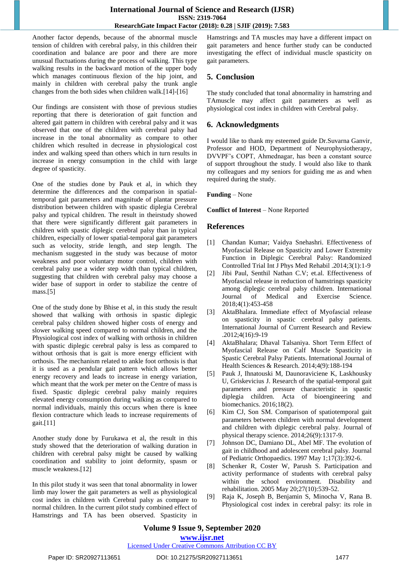#### **International Journal of Science and Research (IJSR) ISSN: 2319-7064 ResearchGate Impact Factor (2018): 0.28 | SJIF (2019): 7.583**

Another factor depends, because of the abnormal muscle tension of children with cerebral palsy, in this children their coordination and balance are poor and there are more unusual fluctuations during the process of walking. This type walking results in the backward motion of the upper body which manages continuous flexion of the hip joint, and mainly in children with cerebral palsy the trunk angle changes from the both sides when children walk.[14]-[16]

Our findings are consistent with those of previous studies reporting that there is deterioration of gait function and altered gait pattern in children with cerebral palsy and it was observed that one of the children with cerebral palsy had increase in the tonal abnormality as compare to other children which resulted in decrease in physiological cost index and walking speed than others which in turn results in increase in energy consumption in the child with large degree of spasticity.

One of the studies done by Pauk et al, in which they determine the differences and the comparison in spatialtemporal gait parameters and magnitude of plantar pressure distribution between children with spastic diplegia Cerebral palsy and typical children. The result in theirstudy showed that there were significantly different gait parameters in children with spastic diplegic cerebral palsy than in typical children, especially of lower spatial-temporal gait parameters such as velocity, stride length, and step length. The mechanism suggested in the study was because of motor weakness and poor voluntary motor control, children with cerebral palsy use a wider step width than typical children, suggesting that children with cerebral palsy may choose a wider base of support in order to stabilize the centre of mass.[5]

One of the study done by Bhise et al, in this study the result showed that walking with orthosis in spastic diplegic cerebral palsy children showed higher costs of energy and slower walking speed compared to normal children, and the Physiological cost index of walking with orthosis in children with spastic diplegic cerebral palsy is less as compared to without orthosis that is gait is more energy efficient with orthosis. The mechanism related to ankle foot orthosis is that it is used as a pendular gait pattern which allows better energy recovery and leads to increase in energy variation, which meant that the work per meter on the Centre of mass is fixed. Spastic diplegic cerebral palsy mainly requires elevated energy consumption during walking as compared to normal individuals, mainly this occurs when there is knee flexion contracture which leads to increase requirements of gait.[11]

Another study done by Furukawa et al, the result in this study showed that the deterioration of walking duration in children with cerebral palsy might be caused by walking coordination and stability to joint deformity, spasm or muscle weakness.[12]

In this pilot study it was seen that tonal abnormality in lower limb may lower the gait parameters as well as physiological cost index in children with Cerebral palsy as compare to normal children. In the current pilot study combined effect of Hamstrings and TA has been observed. Spasticity in Hamstrings and TA muscles may have a different impact on gait parameters and hence further study can be conducted investigating the effect of individual muscle spasticity on gait parameters.

# **5. Conclusion**

The study concluded that tonal abnormality in hamstring and TAmuscle may affect gait parameters as well physiological cost index in children with Cerebral palsy.

# **6. Acknowledgments**

I would like to thank my esteemed guide Dr.Suvarna Ganvir, Professor and HOD, Department of Neurophysiotherapy, DVVPF's COPT, Ahmednagar, has been a constant source of support throughout the study. I would also like to thank my colleagues and my seniors for guiding me as and when required during the study.

#### **Funding** – None

#### **Conflict of Interest** – None Reported

#### **References**

- [1] Chandan Kumar; Vaidya Snehashri. Effectiveness of Myofascial Release on Spasticity and Lower Extremity Function in Diplegic Cerebral Palsy: Randomized Controlled Trial Int J Phys Med Rehabil .2014;3(1):1-9
- [2] Jibi Paul, Senthil Nathan C.V; et.al. Effectiveness of Myofascial release in reduction of hamstrings spasticity among diplegic cerebral palsy children. International Journal of Medical and Exercise Science. 2018;4(1):453-458
- [3] AktaBhalara. Immediate effect of Myofascial release on spasticity in spastic cerebral palsy patients. International Journal of Current Research and Review .2012;4(16):9-19
- [4] AktaBhalara; Dhaval Talsaniya. Short Term Effect of Myofascial Release on Calf Muscle Spasticity in Spastic Cerebral Palsy Patients. International Journal of Health Sciences & Research. 2014;4(9):188-194
- [5] Pauk J, Ihnatouski M, Daunoraviciene K, Laskhousky U, Griskevicius J. Research of the spatial-temporal gait parameters and pressure characteristic in spastic diplegia children. Acta of bioengineering and biomechanics. 2016;18(2).
- [6] Kim CJ, Son SM. Comparison of spatiotemporal gait parameters between children with normal development and children with diplegic cerebral palsy. Journal of physical therapy science. 2014;26(9):1317-9.
- [7] Johnson DC, Damiano DL, Abel MF. The evolution of gait in childhood and adolescent cerebral palsy. Journal of Pediatric Orthopaedics. 1997 May 1;17(3):392-6.
- [8] Schenker R, Coster W, Parush S. Participation and activity performance of students with cerebral palsy within the school environment. Disability and rehabilitation. 2005 May 20;27(10):539-52.
- [9] Raja K, Joseph B, Benjamin S, Minocha V, Rana B. Physiological cost index in cerebral palsy: its role in

#### Licensed Under Creative Commons Attribution CC BY